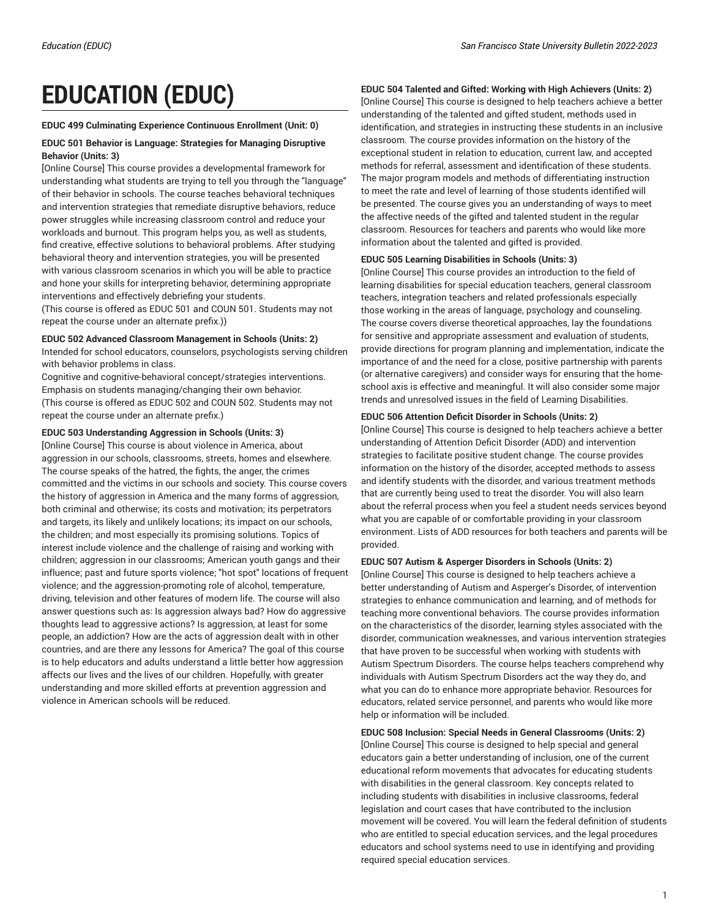# **EDUCATION (EDUC)**

#### **EDUC 499 Culminating Experience Continuous Enrollment (Unit: 0)**

#### **EDUC 501 Behavior is Language: Strategies for Managing Disruptive Behavior (Units: 3)**

[Online Course] This course provides a developmental framework for understanding what students are trying to tell you through the "language" of their behavior in schools. The course teaches behavioral techniques and intervention strategies that remediate disruptive behaviors, reduce power struggles while increasing classroom control and reduce your workloads and burnout. This program helps you, as well as students, find creative, effective solutions to behavioral problems. After studying behavioral theory and intervention strategies, you will be presented with various classroom scenarios in which you will be able to practice and hone your skills for interpreting behavior, determining appropriate interventions and effectively debriefing your students.

(This course is offered as EDUC 501 and COUN 501. Students may not repeat the course under an alternate prefix.))

#### **EDUC 502 Advanced Classroom Management in Schools (Units: 2)**

Intended for school educators, counselors, psychologists serving children with behavior problems in class.

Cognitive and cognitive-behavioral concept/strategies interventions. Emphasis on students managing/changing their own behavior. (This course is offered as EDUC 502 and COUN 502. Students may not repeat the course under an alternate prefix.)

#### **EDUC 503 Understanding Aggression in Schools (Units: 3)**

[Online Course] This course is about violence in America, about aggression in our schools, classrooms, streets, homes and elsewhere. The course speaks of the hatred, the fights, the anger, the crimes committed and the victims in our schools and society. This course covers the history of aggression in America and the many forms of aggression, both criminal and otherwise; its costs and motivation; its perpetrators and targets, its likely and unlikely locations; its impact on our schools, the children; and most especially its promising solutions. Topics of interest include violence and the challenge of raising and working with children; aggression in our classrooms; American youth gangs and their influence; past and future sports violence; "hot spot" locations of frequent violence; and the aggression-promoting role of alcohol, temperature, driving, television and other features of modern life. The course will also answer questions such as: Is aggression always bad? How do aggressive thoughts lead to aggressive actions? Is aggression, at least for some people, an addiction? How are the acts of aggression dealt with in other countries, and are there any lessons for America? The goal of this course is to help educators and adults understand a little better how aggression affects our lives and the lives of our children. Hopefully, with greater understanding and more skilled efforts at prevention aggression and violence in American schools will be reduced.

# **EDUC 504 Talented and Gifted: Working with High Achievers (Units: 2)**

[Online Course] This course is designed to help teachers achieve a better understanding of the talented and gifted student, methods used in identification, and strategies in instructing these students in an inclusive classroom. The course provides information on the history of the exceptional student in relation to education, current law, and accepted methods for referral, assessment and identification of these students. The major program models and methods of differentiating instruction to meet the rate and level of learning of those students identified will be presented. The course gives you an understanding of ways to meet the affective needs of the gifted and talented student in the regular classroom. Resources for teachers and parents who would like more information about the talented and gifted is provided.

#### **EDUC 505 Learning Disabilities in Schools (Units: 3)**

[Online Course] This course provides an introduction to the field of learning disabilities for special education teachers, general classroom teachers, integration teachers and related professionals especially those working in the areas of language, psychology and counseling. The course covers diverse theoretical approaches, lay the foundations for sensitive and appropriate assessment and evaluation of students, provide directions for program planning and implementation, indicate the importance of and the need for a close, positive partnership with parents (or alternative caregivers) and consider ways for ensuring that the homeschool axis is effective and meaningful. It will also consider some major trends and unresolved issues in the field of Learning Disabilities.

# **EDUC 506 Attention Deficit Disorder in Schools (Units: 2)**

[Online Course] This course is designed to help teachers achieve a better understanding of Attention Deficit Disorder (ADD) and intervention strategies to facilitate positive student change. The course provides information on the history of the disorder, accepted methods to assess and identify students with the disorder, and various treatment methods that are currently being used to treat the disorder. You will also learn about the referral process when you feel a student needs services beyond what you are capable of or comfortable providing in your classroom environment. Lists of ADD resources for both teachers and parents will be provided.

#### **EDUC 507 Autism & Asperger Disorders in Schools (Units: 2)**

[Online Course] This course is designed to help teachers achieve a better understanding of Autism and Asperger's Disorder, of intervention strategies to enhance communication and learning, and of methods for teaching more conventional behaviors. The course provides information on the characteristics of the disorder, learning styles associated with the disorder, communication weaknesses, and various intervention strategies that have proven to be successful when working with students with Autism Spectrum Disorders. The course helps teachers comprehend why individuals with Autism Spectrum Disorders act the way they do, and what you can do to enhance more appropriate behavior. Resources for educators, related service personnel, and parents who would like more help or information will be included.

**EDUC 508 Inclusion: Special Needs in General Classrooms (Units: 2)** [Online Course] This course is designed to help special and general educators gain a better understanding of inclusion, one of the current educational reform movements that advocates for educating students with disabilities in the general classroom. Key concepts related to including students with disabilities in inclusive classrooms, federal legislation and court cases that have contributed to the inclusion movement will be covered. You will learn the federal definition of students who are entitled to special education services, and the legal procedures educators and school systems need to use in identifying and providing required special education services.